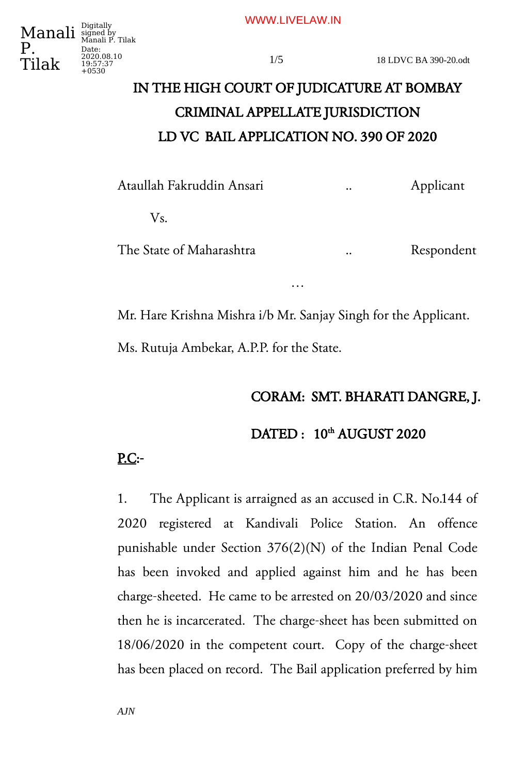WWW.LIVELAW.IN



Date: 2020.08.10 19:57:37 +0530

# IN THE HIGH COURT OF JUDICATURE AT BOMBAY CRIMINAL APPELLATE JURISDICTION LD VC BAIL APPLICATION NO. 390 OF 2020

Ataullah Fakruddin Ansari .. Applicant

Vs.

The State of Maharashtra ... Respondent

…

Mr. Hare Krishna Mishra i/b Mr. Sanjay Singh for the Applicant.

Ms. Rutuja Ambekar, A.P.P. for the State.

## CORAM: SMT. BHARATI DANGRE, J.

DATED:  $10^{th}$  AUGUST 2020

# P.C:-

1. The Applicant is arraigned as an accused in C.R. No.144 of 2020 registered at Kandivali Police Station. An offence punishable under Section 376(2)(N) of the Indian Penal Code has been invoked and applied against him and he has been charge-sheeted. He came to be arrested on 20/03/2020 and since then he is incarcerated. The charge-sheet has been submitted on 18/06/2020 in the competent court. Copy of the charge-sheet has been placed on record. The Bail application preferred by him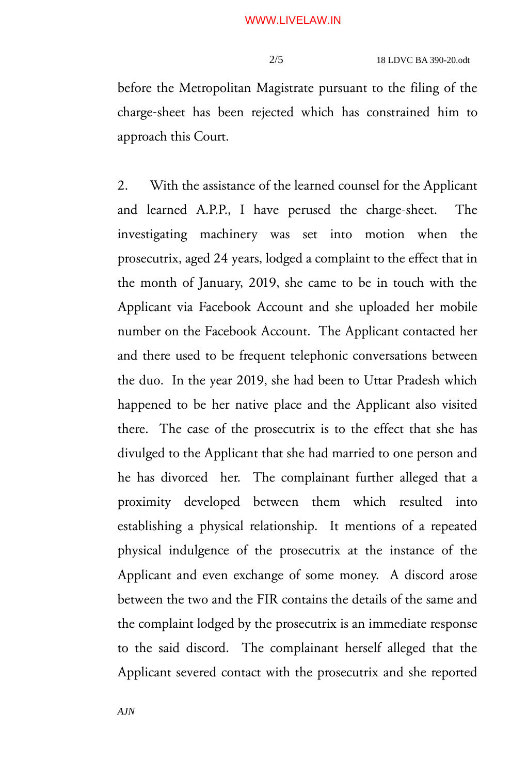before the Metropolitan Magistrate pursuant to the filing of the charge-sheet has been rejected which has constrained him to approach this Court.

2. With the assistance of the learned counsel for the Applicant and learned A.P.P., I have perused the charge-sheet. The investigating machinery was set into motion when the prosecutrix, aged 24 years, lodged a complaint to the effect that in the month of January, 2019, she came to be in touch with the Applicant via Facebook Account and she uploaded her mobile number on the Facebook Account. The Applicant contacted her and there used to be frequent telephonic conversations between the duo. In the year 2019, she had been to Uttar Pradesh which happened to be her native place and the Applicant also visited there. The case of the prosecutrix is to the effect that she has divulged to the Applicant that she had married to one person and he has divorced her. The complainant further alleged that a proximity developed between them which resulted into establishing a physical relationship. It mentions of a repeated physical indulgence of the prosecutrix at the instance of the Applicant and even exchange of some money. A discord arose between the two and the FIR contains the details of the same and the complaint lodged by the prosecutrix is an immediate response to the said discord. The complainant herself alleged that the Applicant severed contact with the prosecutrix and she reported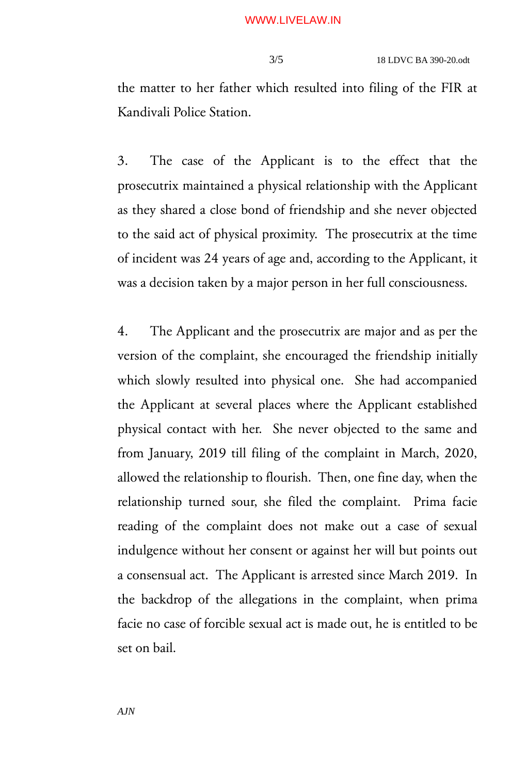the matter to her father which resulted into filing of the FIR at Kandivali Police Station.

3. The case of the Applicant is to the effect that the prosecutrix maintained a physical relationship with the Applicant as they shared a close bond of friendship and she never objected to the said act of physical proximity. The prosecutrix at the time of incident was 24 years of age and, according to the Applicant, it was a decision taken by a major person in her full consciousness.

4. The Applicant and the prosecutrix are major and as per the version of the complaint, she encouraged the friendship initially which slowly resulted into physical one. She had accompanied the Applicant at several places where the Applicant established physical contact with her. She never objected to the same and from January, 2019 till filing of the complaint in March, 2020, allowed the relationship to flourish. Then, one fine day, when the relationship turned sour, she filed the complaint. Prima facie reading of the complaint does not make out a case of sexual indulgence without her consent or against her will but points out a consensual act. The Applicant is arrested since March 2019. In the backdrop of the allegations in the complaint, when prima facie no case of forcible sexual act is made out, he is entitled to be set on bail.

*AJN*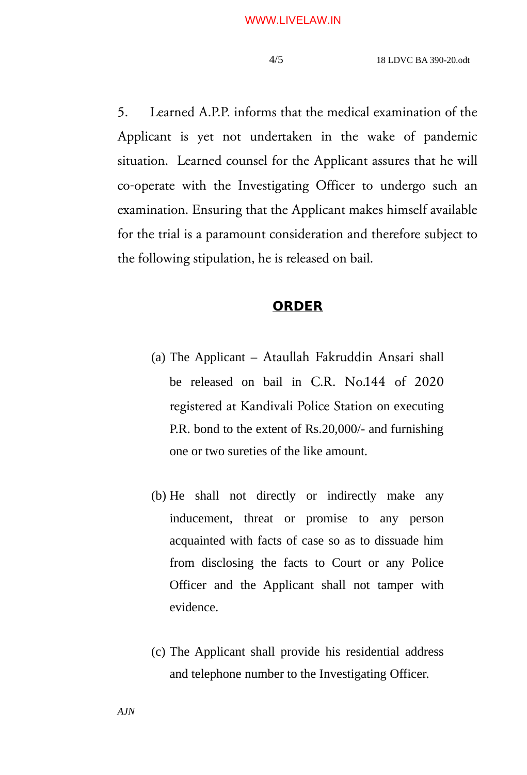5. Learned A.P.P. informs that the medical examination of the Applicant is yet not undertaken in the wake of pandemic situation. Learned counsel for the Applicant assures that he will co-operate with the Investigating Officer to undergo such an examination. Ensuring that the Applicant makes himself available for the trial is a paramount consideration and therefore subject to the following stipulation, he is released on bail.

#### **ORDER**

- (a) The Applicant Ataullah Fakruddin Ansari shall be released on bail in C.R. No.144 of 2020 registered at Kandivali Police Station on executing P.R. bond to the extent of Rs.20,000/- and furnishing one or two sureties of the like amount.
- (b) He shall not directly or indirectly make any inducement, threat or promise to any person acquainted with facts of case so as to dissuade him from disclosing the facts to Court or any Police Officer and the Applicant shall not tamper with evidence.
- (c) The Applicant shall provide his residential address and telephone number to the Investigating Officer.